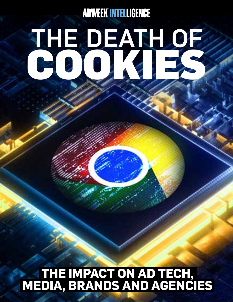**ADWEEK INTELLIGENCE** 

# THE DEATH OF COOKIES

## **THE IMPACT ON AD TECH, MEDIA, BRANDS AND AGENCIES**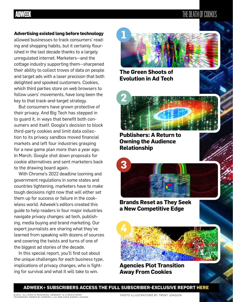## THE DEATH OF COOKIES

### **Advertising existed long before technology**

allowed businesses to track consumers' reading and shopping habits, but it certainly flourished in the last decade thanks to a largely unregulated internet. Marketers—and the cottage industry supporting them—sharpened their ability to collect troves of data on people and target ads with a laser precision that both delighted and spooked customers. Cookies, which third parties store on web browsers to follow users' movements, have long been the key to that track-and-target strategy.

But consumers have grown protective of their privacy. And Big Tech has stepped in to guard it, in ways that benefit both consumers and itself. Google's decision to block third-party cookies and limit data collection to its privacy sandbox moved financial markets and left four industries grasping for a new game plan more than a year ago. In March, Google shot down proposals for cookie alternatives and sent marketers back to the drawing board again.

With Chrome's 2022 deadline looming and government regulations in some states and countries tightening, marketers have to make tough decisions right now that will either set them up for success or failure in the cookieless world. Adweek's editors created this guide to help readers in four major industries navigate privacy changes: ad tech, publishing, media buying and brand marketing. Our expert journalists are sharing what they've learned from speaking with dozens of sources and covering the twists and turns of one of the biggest ad stories of the decade.

In this special report, you'll find out about the unique challenges for each business type, implications of privacy changes, who is fighting for survival and what it will take to win.



**The Green Shoots of Evolution in Ad Tech**



**Publishers: A Return to Owning the Audience Relationship**





**Agencies Plot Transition Away From Cookies**

**ADWEEK+ SUBSCRIBERS ACCESS THE FULL SUBSCRIBER-EXCLUSIVE REPORT HERE**

 **3**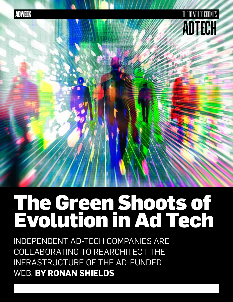## THE DEATH OF COOKIES **ADTECH**

## The Green Shoots of Evolution in Ad Tech

INDEPENDENT AD-TECH COMPANIES ARE COLLABORATING TO REARCHITECT THE INFRASTRUCTURE OF THE AD-FUNDED WEB. **BY RONAN SHIELDS**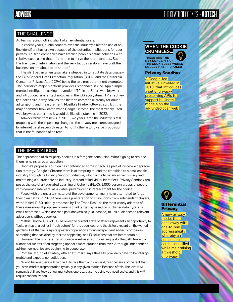## THE DEATH OF COOKIES > **ADTECH**

#### THE CHALLENGE

Ad tech is facing nothing short of an existential crisis.

In recent years, public concern over the industry's historic use of online identifiers has grown because of the potential implications for user privacy. Ad-tech companies have tracked people's online activities with relative ease, using that information to serve them relevant ads. But the fire hose of information and the very tactics vendors have built their business on are about to be shut off.

The shift began when lawmakers stepped in to regulate data usage the EU's General Data Protection Regulation (GDPR) and the California Consumer Privacy Act (CCPA) being the two most prominent examples. The industry's major platform providers responded in kind. Apple implemented intelligent tracking prevention (ITP) in its Safari web browser and introduced similar technologies in the iOS ecosystem. ITP effectively blocks third-party cookies, the historic common currency for online ad targeting and measurement. Mozilla's Firefox followed suit. But the major hammer blow came when Google Chrome, the most widely used web browser, confirmed it would do likewise starting in 2022.

Adweek broke that news in 2019. Two years later, the industry is still grappling with the impending change as the privacy measures designed by internet gatekeepers threaten to nullify the historic value proposition that is the foundation of ad tech.

### WHEN THE COOKIE CRUMBLES…

THESE ARE THE KEY CONCEPTS OF THE COOKIELESS WORLD GOOGLE HAS PROPOSED

#### Privacy Sandbox

A Google-led initiative, unveiled in 2019, that introduces a set of privacypreserving APIs to support business models on the ad-funded open web

#### THE IMPLICATIONS

The deprecation of third-party cookies is a foregone conclusion. What's going to replace them remains an open question.

Google's proposed solution has confounded some in tech. As part of its cookie deprecation strategy, Google's Chrome team is attempting to lead the transition to a post-cookie industry through its Privacy Sandbox initiative, which aims to balance user privacy and maintaining a sustainable ad industry. Instead of individual identifiers, Privacy Sandbox proposes the use of a Federated Learning of Cohorts (FLoC), 1,000-person groups of people with common interests, as a viable, privacy-centric replacement for the cookie.

Faced with the uncertain nature of the developments, many have attempted to forge their own paths. In 2020, there was a proliferation of ID solutions from independent players, with Unified ID 2.0, initially proposed by The Trade Desk, as the most widely adopted of these measures. It proposes a means of ad targeting based on publisher data, typically email addresses, which are then pseudonymized (aka, hashed) to link audiences to relevant advertisers without cookies.

Mathieu Roche, CEO of ID5, believes the current state of affairs represents an opportunity to "build on top of a better infrastructure" for the open web, one that is less reliant on the walled gardens. But that will require greater cooperation among independent ad-tech companies, something that has already started happening, and ID solutions that are interoperable.

However, the proliferation of non-cookie-based solutions suggests the path toward a functional means of ad targeting appears more clouded than ever. Although, independent ad-tech companies are beginning to cooperate.

Romain Job, chief strategy officer at Smart, says these ID providers have to be interoperable and expects consolidation.

"I don't believe there will be one ID to rule them all," Job said, "just because of the fact that you have market fragmentation typically in any given market. Because of this, I believe it will remain. But if you look at how marketers operate, at some point, you need scale, and this will require rationalization."

#### **Differential Privacy**

A new privacy model that does away with one-to-one addressability whereby an audience subset can be identified while maintaining a threshold of privacy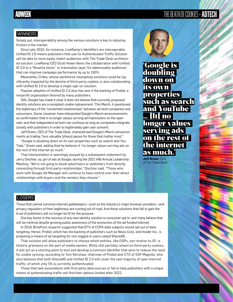## THE DEATH OF COOKIES > **ADTECH**

#### **WINNERS**

Simply put, interoperability among the various solutions is key to reducing friction in the market.

Since late 2020, for instance, LiveRamp's identifiers are interoperable. Unified ID 2.0 means publishers that use its Authenticated Traffic Solution will be able to more easily match audiences with The Trade Desk-architected solution. LiveRamp CEO Scott Howe likens the collaboration with Unified ID 2.0 to a "Rosetta stone," or translation layer, for addressable audiences that can improve campaign performance by up to 190%.

Meanwhile, Criteo, whose workhorse retargeting solutions could be significantly impacted by the decline of third-party cookies, is also collaborating with Unified ID 2.0 to develop a single sign-on solution.

Popular adoption of Unified ID 2.0 also has won it the backing of Prebid, a nonprofit organization favored by many publishers.

Still, Google has made it clear it does not believe that currently proposed identity solutions are a compliant cookie replacement. This March, it questioned the legitimacy of the "consented relationships" between ad-tech companies and consumers. Some, however, have interpreted Google's March announcements as confirmation that it no longer values serving ad impressions on the open web, and that independent ad tech can continue as long as companies integrate closely with publishers in order to legitimately gain user consent.

Jeff Green, CEO of The Trade Desk, characterized Google's March announcements as trading "less valuable [chess] pieces for those that matter most."

"Google is doubling down on its own properties such as search and You-Tube," Green said, adding that he believes it "no longer values serving ads on the rest of the internet as much."

That interpretation is seemingly buoyed by a subsequent statement by Jerry Dischler, vp, gm of ads at Google, during the 2021 IAB Annual Leadership Meeting. "We're not going to block advertisers or publishers from directly connecting through first-party relationships," Dischler said. "Those who work with Google Ad Manager will continue to have control over their direct relationships with buyers and the vendors they choose."



'Google is doubling down on its own properties such as search and YouTube … [It] no longer values serving ads on the rest of the internet as much.' **Jeff Green**, CEO

of The Trade Desk

#### LOSERS

Those that cannot convince internet gatekeepers—such as the industry's major browser providers—and privacy regulators of their legitimacy are running out of road. And those solutions that fail to gain the trust of publishers will no longer be fit for the purpose.

One key factor in the success of any new identity solution is consumer opt-in, and many believe that will be minimal despite growing public awareness of the economics of the ad-funded internet.

In 2019, BritePool research suggested that 87% of CCPA data subjects would opt out of data targeting. Hence, Prebid, which has the backing of publishers such as News Corp. and Insider Inc., is preparing a means of ad targeting for non-logged-in users called SharedID.

That solution will allow publishers to choose which entities, like DSPs, can receive its ID—a historic grievance on the part of media owners. While still partially reliant on third-party cookies, it will act as a starting point to test and develop a common identifier that aims to reduce the need for cookie syncing, according to Tom Kershaw, chairman of Prebid and CTO of SSP Magnite, who also believes that both SharedID and Unified ID 2.0 will cover the vast majority of open internet traffic, of which only 5% is currently authenticated.

Those that lack associations with first-party data sources or fail to help publishers with a unique means of authenticating traffic will find their options limited after 2022.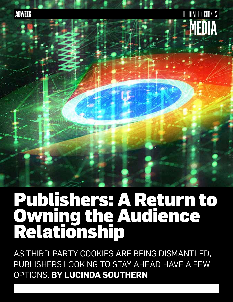## THE DEATH OF COOKIES **MEDIA**

## Publishers: A Return to Owning the Audience Relationship

AS THIRD-PARTY COOKIES ARE BEING DISMANTLED, PUBLISHERS LOOKING TO STAY AHEAD HAVE A FEW OPTIONS. **BY LUCINDA SOUTHERN**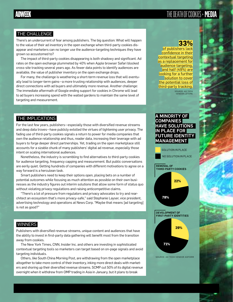## THE DEATH OF COOKIES > **MEDIA**

#### THE CHALLENGE

There's an undercurrent of fear among publishers. The big question: What will happen to the value of their ad inventory in the open exchange when third-party cookies disappear and marketers can no longer use the audience-targeting techniques they have grown so accustomed to?

The impact of third-party cookies disappearing is both shadowy and significant. Ad rates on the open exchange plummeted by 40% when Apple browser Safari blocked cross-site tracking several years ago. As fewer data points to identify audiences are available, the value of publisher inventory on the open exchange drops.

For many, the challenge is weathering a short-term revenue loss that will eventually lead to longer-term gains—a more trusting relationship with audiences, deeper direct connections with ad buyers and ultimately more revenue. Another challenge: The immediate aftermath of Google ending support for cookies in Chrome will lead to ad buyers increasing spend with the walled gardens to maintain the same level of targeting and measurement.

### **33%**

of publishers lack confidence in their contextual targeting as a replacement for audience targeting, and half (49%) are looking for a further solution to cover the potential loss of third-party tracking. SOURCE: AD TECH VENDOR LOTAME

### THE IMPLICATIONS

For the last few years, publishers—especially those with diversified revenue streams and deep data troves—have publicly extolled the virtues of tightening user privacy. The fading use of third-party cookies signals a return to power for media companies that own the audience relationship and thus, reader data, increasing their leverage with ad buyers to forge deeper direct partnerships. Yet, trading on the open marketplace still accounts for a sizable chunk of many publishers' digital ad revenue, especially those intent on scaling international audiences.

Nonetheless, the industry is scrambling to find alternatives to third-party cookies for audience targeting, frequency capping and measurement. But public conversations are eerily quiet. Getting hundreds of companies with different motivations to agree on a way forward is a herculean task.

Smart publishers need to keep their options open, placing bets on a number of potential outcomes while focusing as much attention as possible on their own businesses as the industry figures out interim solutions that allow some form of status quo without violating privacy regulations and raising anticompetitive claims.

"There's a lot of pressure from regulators and privacy advocates to try and rearchitect an ecosystem that's more privacy-safe," said Stephanie Layser, vice president, advertising technology and operations at News Corp. "Maybe that means [ad targeting] is not as good?"

### **WINNERS**

Publishers with diversified revenue streams, unique content and audiences that have the ability to invest in first-party data gathering will benefit most from the transition away from cookies.

The New York Times, CNN, Insider Inc. and others are investing in sophisticated contextual targeting tools so marketers can target based on on-page signals and avoid targeting individuals.

Others, like South China Morning Post, are withdrawing from the open marketplace altogether to take more control of their inventory, inking more direct deals with marketers and shoring up their diversified revenue streams. SCMP cut 50% of its digital revenue overnight when it withdrew from OMP trading in Asia in January, but it plans to break

#### A MINORITY OF **COMPANIES** HAVE SOLUTIONS IN PLACE FOR FUTURE IDENTITY MANAGEMENT

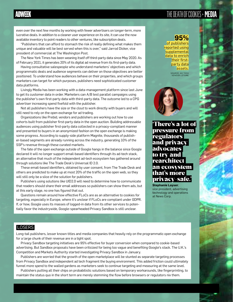## THE DEATH OF COOKIES > **MEDIA**

even over the next few months by working with fewer advertisers on longer-term, more lucrative deals. In addition to a cleaner user experience on its site, it can use the now available inventory to point readers to other ventures, like subscription deals.

"Publishers that can afford to stomach the risk of really defining what makes them unique and valuable will be best served when this is over," said Jarrod Dicker, vice president of commercial at The Washington Post.

The New York Times has been weaning itself off third-party data since May 2020. As of February 2021, it generates 20% of its digital ad revenue from its first-party data.

Having consultative salespeople who understand marketers' objectives and which programmatic deals and audience segments can deliver on those objectives are better positioned. To understand how audiences behave on their properties, and which groups marketers can target for which purposes, publishers need sophisticated customer data platforms.

Livingly Media has been working with a data-management platform since last June to get its customer data in order. Marketers can A/B test parallel campaigns using the publisher's own first-party data with third-party data. The outcome led to a CPG advertiser increasing spend fivefold with the publisher.

Not all publishers have the size or the clout to work directly with buyers and will still need to rely on the open exchange for ad trading.

Organizations like Prebid, vendors and publishers are working out how to use cohorts built from publisher first-party data in the open auction. Building addressable audiences using publisher first-party data collected in a privacy-compliant manner and presented to buyers in an anonymized fashion on the open exchange is making some progress. According to supply-side platform Magnite, thousands of publisher-based segments are already running across the industry, generating 10% of the SSP's revenue through these curated markets.

The fate of the open exchange outside of Google hangs in the balance since Google declared it will no longer support email-based identifiers through its ad-tech stack, an alternative that much of the independent ad-tech ecosystem has gathered around through solutions like The Trade Desk's Universal ID 2.0.

These email-based identifiers, obtained by user consent, from The Trade Desk and others are predicted to make up at most 20% of the traffic on the open web, so they will still only be a slice of the solution for publishers.

Publishers using solutions like UID2.0 will need to determine how to communicate that readers should share their email addresses so publishers can show them ads, but at this early stage, no one has figured that out.

Questions remain around how effective FLoCs are as an alternative to cookies for targeting, especially in Europe, where it's unclear if FLoCs are compliant under GDPR. If, or how, Google uses its masses of logged-in data from its other services to potentially favor the industrywide, Google-spearheaded Privacy Sandbox is still unclear.

### **95%**

of publishers reported using supplemental data to enrich their firstparty data assets. SOURCE: AD TECH VENDOR LOTAME



'There's a lot of pressure from regulators and privacy advocates to try and rearchitect an ecosystem that's more privacy-safe.'

**Stephanie Layser**, vice president, advertising technology and operations at News Corp.

### LOSERS

Long-tail publishers, lesser known titles and media companies that heavily rely on the programmatic open exchange for a large chunk of their revenue are in a tight spot.

Privacy Sandbox targeting initiatives are 95% effective for buyer conversion when compared to cookie-based advertising. But Sandbox proposals have been criticized for being too vague and benefiting Google's stack. The U.K.'s Competition and Markets Authority started investigating Privacy Sandbox in January.

Publishers are worried that the growth of the open marketplace will be stunted as separate targeting processes from Privacy Sandbox and independent ad tech fragment the buying environment. This added friction could ultimately funnel more spend to the walled gardens as marketers seek to continue targeting and measuring at the same level.

Publishers putting all their chips on probabilistic solutions based on temporary workarounds, like fingerprinting, to maintain the status quo in the short term are merely stemming the flow before browsers or regulators nix them.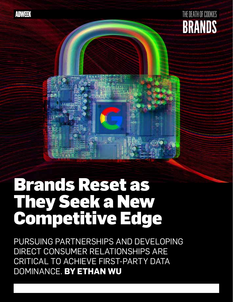

## Brands Reset as They Seek a New Competitive Edge

PURSUING PARTNERSHIPS AND DEVELOPING DIRECT CONSUMER RELATIONSHIPS ARE CRITICAL TO ACHIEVE FIRST-PARTY DATA DOMINANCE. **BY ETHAN WU**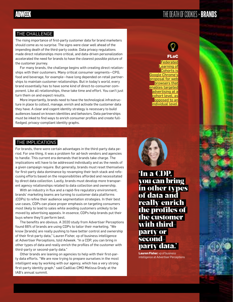## THE DEATH OF COOKIES > **BRANDS**

#### THE CHALLENGE

The rising importance of first-party customer data for brand marketers should come as no surprise. The signs were clear well ahead of the impending death of the third-party cookie. Data privacy regulations made direct relationships more critical, and data-driven personalization accelerated the need for brands to have the clearest possible picture of the customer journey.

For many brands, the challenge begins with creating direct relationships with their customers. Many critical consumer segments—CPG, food and beverage, for example—have long depended on retail partnerships to maintain customer relationships. But in today's world, every brand essentially has to have some kind of direct-to-consumer component. Like all relationships, these take time and effort. You can't just turn them on and expect results.

More importantly, brands need to have the technological infrastructure in place to collect, manage, enrich and activate the customer data they have. A clear and cogent identity strategy is necessary to build audiences based on known identities and behaviors. Data partnerships must be inked to find ways to enrich consumer profiles and create fullfledged, privacy-compliant identity graphs.

## FLoC

Federated Learning of Cohorts is Google Chrome's proposal for web browsers that enables targeted advertising at a cohort level, as opposed to an individual level.



'In a CDP, you can bring in other types of data and really enrich the profiles of the customer with thirdparty or secondparty data.'

**Lauren Fisher**, vp of business intelligence at Advertiser Perceptions

### THE IMPLICATIONS

For brands, there were certain advantages in the third-party data period. For one thing, it was a problem for ad-tech vendors and agencies to handle. This current era demands that brands take charge. The implications will have to be addressed individually and as the needs of a given campaign require. But generally, brands must reset themselves for first-party data dominance by revamping their tech stack and refocusing efforts based on the responsibilities afforded and necessitated by direct data collection. Lastly, brands must develop more transparent agency relationships related to data collection and ownership.

With an industry in flux and a rapid-fire regulatory environment, brands' marketing teams are turning to customer data platforms (CDPs) to refine their audience segmentation strategies. In their best use cases, CDPs can place proper emphasis on targeting consumers most likely to lead to sales while avoiding customers unlikely to be moved by advertising appeals. In essence, CDPs help brands put their buys where they'll perform best.

The benefits are obvious. A 2020 study from Advertiser Perceptions found 66% of brands are using CDPs to tailor their marketing. "We know [brands] are really pushing to have better control and ownership of their first-party data," Lauren Fisher, vp of business intelligence at Advertiser Perceptions, told Adweek. "In a CDP, you can bring in other types of data and really enrich the profiles of the customer with third-party or second-party data."

Other brands are leaning on agencies to help with their first-party data efforts. "We are now trying to prepare ourselves in the most intelligent way by working with our agency, which has a very strong first-party identity graph," said Cadillac CMO Melissa Grady at the IAB's annual summit.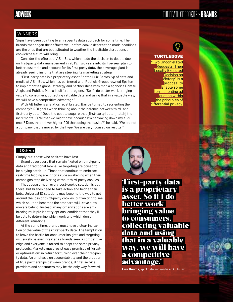## THE DEATH OF COOKIES > **BRANDS**

#### **WINNERS**

Signs have been pointing to a first-party data approach for some time. The brands that began their efforts well before cookie deprecation made headlines are the ones that are best situated to weather the inevitable disruptions a cookieless future will bring.

Consider the efforts of AB InBev, which made the decision to double down on first-party data management in 2019. Two years into its five-year plan to better assemble and account for its first-party data, the beverage giant is already seeing insights that are steering its marketing strategy.

"First-party data is a proprietary asset," noted Luiz Barros, vp of data and media at AB InBev, which has partnered with Publicis Groupe-owned Epsilon to implement its global strategy and partnerships with media agencies Dentsu Aegis and Publicis Media in different regions. "So if I do better work bringing value to consumers, collecting valuable data and using that in a valuable way, we will have a competitive advantage."

With AB InBev's analytics recalibrated, Barros turned to reorienting the company's ROI goals when thinking about the balance between third- and first-party data. "Does the cost to acquire that [first-party] data [match] the incremental CPM that we might have because I'm narrowing down my audience? Does that deliver higher ROI than doing the basics?" he said. "We are not a company that is moved by the hype. We are very focused on results."

## **TURTLEDOVE**

"Two Uncorrelated Requests, Then **Locally Executed** Decision on Victory" is a proposal to enable some form of online ad auction within the principles of differential privacy.

### LOSERS

Simply put, those who hesitate have lost.

Brand advertisers that remain fixated on third-party data and traditional look-alike targeting are poised to be playing catch-up. Those that continue to embrace real-time bidding are in for a rude awakening when their campaigns stop delivering without third-party cookies.

That doesn't mean every post-cookie solution is out there. But brands need to take action and hedge their bets. Universal ID solutions may become the way to get around the loss of third-party cookies, but waiting to see which solution becomes the standard will leave slow movers behind. Instead, many organizations are embracing multiple identity options, confident that they'll be able to determine which work and which don't in different situations.

At the same time, brands must have a clear indication of the value of their first-party data. The temptation to leave the battle for consumer insights and targeting will surely be even greater as brands seek a competitive edge and everyone is forced to adopt the same privacy protocols. Markets must resist easy promises of "greater optimization" in return for turning over their first-party data. An emphasis on accountability and the creation of true partnerships between brands, digital service providers and consumers may be the only way forward.

![](_page_10_Picture_14.jpeg)

'First-party data is a proprietary asset. So if I do better work bringing value to consumers, collecting valuable data and using that in a valuable way, we will have a competitive advantage.'

**Luiz Barros**, vp of data and media at AB InBev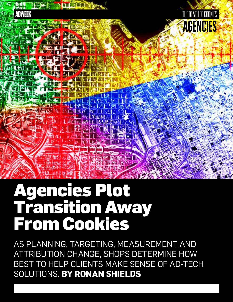![](_page_11_Picture_0.jpeg)

## Agencies Plot Transition Away From Cookies

AS PLANNING, TARGETING, MEASUREMENT AND ATTRIBUTION CHANGE, SHOPS DETERMINE HOW BEST TO HELP CLIENTS MAKE SENSE OF AD-TECH SOLUTIONS. **BY RONAN SHIELDS**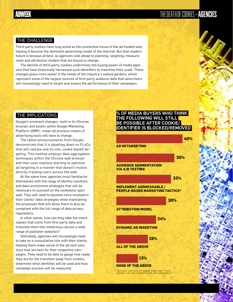#### THE CHALLENGE

Third-party cookies have long acted as the connective tissue of the ad-funded web, helping it become the dominant advertising model of the internet. But that model's future is tenuous at best, as agencies look ahead to planning, targeting, measurement and attribution models that are bound to change.

The decline of third-party cookies undermines the buying power of media agencies that have historically harnessed such identifiers to maximize their scale. These changes place more power in the hands of the industry's walled gardens, which represent some of the largest sources of first-party audience data that advertisers will increasingly need to target and assess the performance of their campaigns.

#### THE IMPLICATIONS

Google's imminent changes—both in its Chrome browser and assets within Google Marketing Platform (GMP)—mean all previous means of advertising tools will have to change.

The latest announcements from Google demonstrate that it is doubling down on FLoCs that will replace one-to-one, cookie-based targeting. This method employs data aggregation techniques within the Chrome web browser and then uses machine learning to optimize ad targeting in a manner that doesn't involve directly tracking users across the web.

At the same time, agencies must familiarize themselves with the range of identity solutions and data-enrichment strategies that will be necessary to succeed on the cookieless open web. They will need to become more involved in their clients' data strategies while maintaining the processes that will allow them to also be compliant with the full range of data privacy regulations.

In other words, how can they take the intent signals that come from first-party data and translate them into media buys across a wide range of publisher websites?

Ultimately, agencies will increasingly need to take on a consultative role with their clients, helping them make sense of the ad-tech solutions that are best for their respective campaigns. They need to be able to gauge how ready they are for the transition away from cookies, determine what identities will be used and how campaign success will be measured.

#### % OF MEDIA BUYERS WHO THINK THE FOLLOWING WILL STILL BE POSSIBLE AFTER COOKIE/ IDENTIFIER IS BLOCKED/REMOVED

![](_page_12_Figure_12.jpeg)